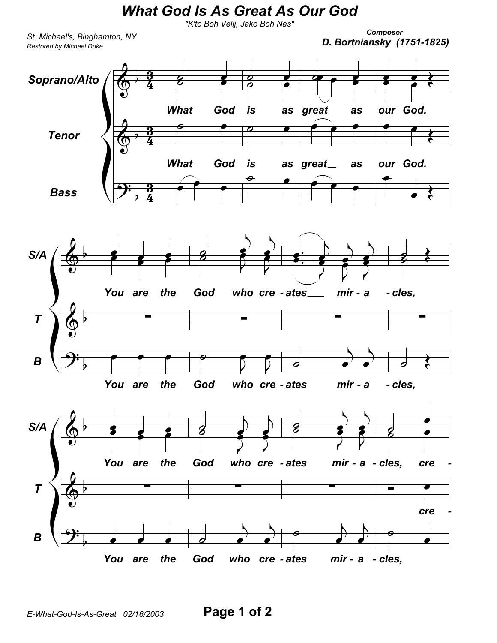